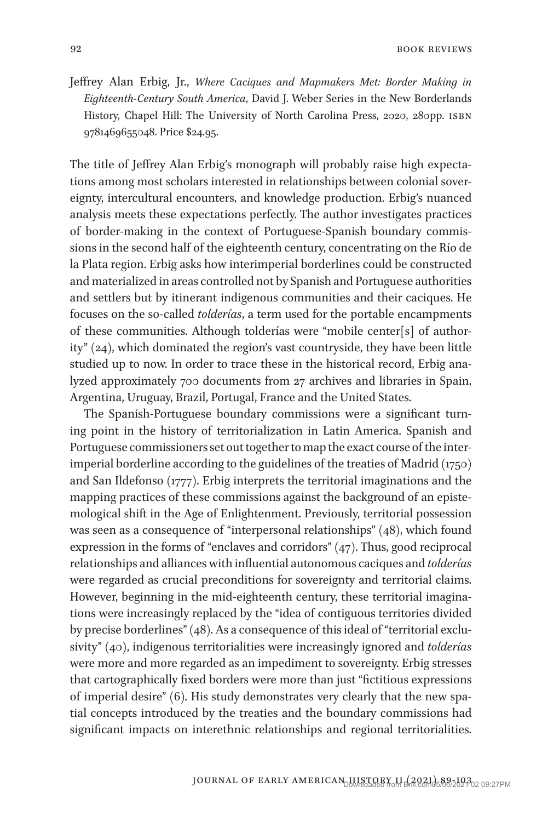92 book reviews and the set of the set of the set of the set of the set of the set of the set of the set of the set of the set of the set of the set of the set of the set of the set of the set of the set of the set of the

Jeffrey Alan Erbig, Jr., *Where Caciques and Mapmakers Met: Border Making in Eighteenth-Century South America*, David J. Weber Series in the New Borderlands History, Chapel Hill: The University of North Carolina Press, 2020, 280pp. ISBN 9781469655048. Price \$24.95.

The title of Jeffrey Alan Erbig's monograph will probably raise high expectations among most scholars interested in relationships between colonial sovereignty, intercultural encounters, and knowledge production. Erbig's nuanced analysis meets these expectations perfectly. The author investigates practices of border-making in the context of Portuguese-Spanish boundary commissions in the second half of the eighteenth century, concentrating on the Río de la Plata region. Erbig asks how interimperial borderlines could be constructed and materialized in areas controlled not by Spanish and Portuguese authorities and settlers but by itinerant indigenous communities and their caciques. He focuses on the so-called *tolderías*, a term used for the portable encampments of these communities. Although tolderías were "mobile center[s] of authority" (24), which dominated the region's vast countryside, they have been little studied up to now. In order to trace these in the historical record, Erbig analyzed approximately 700 documents from 27 archives and libraries in Spain, Argentina, Uruguay, Brazil, Portugal, France and the United States.

The Spanish-Portuguese boundary commissions were a significant turning point in the history of territorialization in Latin America. Spanish and Portuguese commissioners set out together to map the exact course of the interimperial borderline according to the guidelines of the treaties of Madrid (1750) and San Ildefonso (1777). Erbig interprets the territorial imaginations and the mapping practices of these commissions against the background of an epistemological shift in the Age of Enlightenment. Previously, territorial possession was seen as a consequence of "interpersonal relationships" (48), which found expression in the forms of "enclaves and corridors" (47). Thus, good reciprocal relationships and alliances with influential autonomous caciques and *tolderías* were regarded as crucial preconditions for sovereignty and territorial claims. However, beginning in the mid-eighteenth century, these territorial imaginations were increasingly replaced by the "idea of contiguous territories divided by precise borderlines" (48). As a consequence of this ideal of "territorial exclusivity" (40), indigenous territorialities were increasingly ignored and *tolderías* were more and more regarded as an impediment to sovereignty. Erbig stresses that cartographically fixed borders were more than just "fictitious expressions of imperial desire" (6). His study demonstrates very clearly that the new spatial concepts introduced by the treaties and the boundary commissions had significant impacts on interethnic relationships and regional territorialities.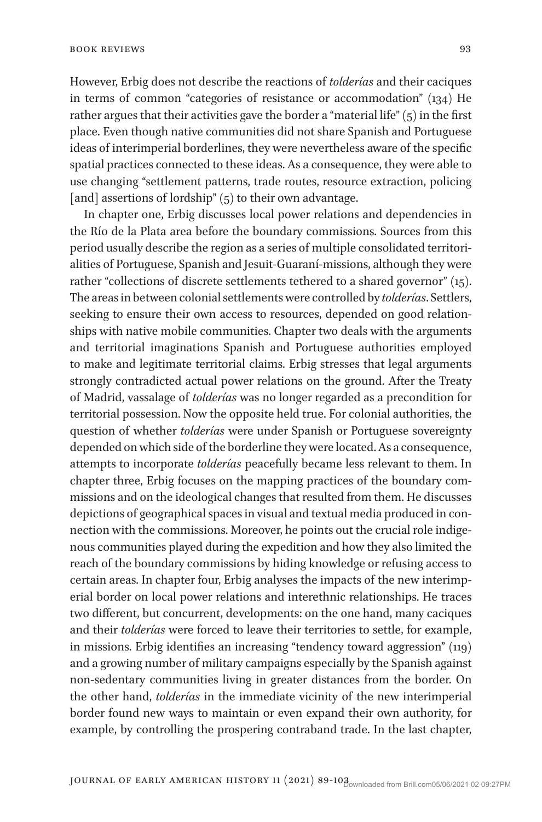However, Erbig does not describe the reactions of *tolderías* and their caciques in terms of common "categories of resistance or accommodation" (134) He rather argues that their activities gave the border a "material life" (5) in the first place. Even though native communities did not share Spanish and Portuguese ideas of interimperial borderlines, they were nevertheless aware of the specific spatial practices connected to these ideas. As a consequence, they were able to use changing "settlement patterns, trade routes, resource extraction, policing [and] assertions of lordship"  $(5)$  to their own advantage.

In chapter one, Erbig discusses local power relations and dependencies in the Río de la Plata area before the boundary commissions. Sources from this period usually describe the region as a series of multiple consolidated territorialities of Portuguese, Spanish and Jesuit-Guaraní-missions, although they were rather "collections of discrete settlements tethered to a shared governor" (15). The areas in between colonial settlements were controlled by *tolderías*. Settlers, seeking to ensure their own access to resources, depended on good relationships with native mobile communities. Chapter two deals with the arguments and territorial imaginations Spanish and Portuguese authorities employed to make and legitimate territorial claims. Erbig stresses that legal arguments strongly contradicted actual power relations on the ground. After the Treaty of Madrid, vassalage of *tolderías* was no longer regarded as a precondition for territorial possession. Now the opposite held true. For colonial authorities, the question of whether *tolderías* were under Spanish or Portuguese sovereignty depended on which side of the borderline they were located. As a consequence, attempts to incorporate *tolderías* peacefully became less relevant to them. In chapter three, Erbig focuses on the mapping practices of the boundary commissions and on the ideological changes that resulted from them. He discusses depictions of geographical spaces in visual and textual media produced in connection with the commissions. Moreover, he points out the crucial role indigenous communities played during the expedition and how they also limited the reach of the boundary commissions by hiding knowledge or refusing access to certain areas. In chapter four, Erbig analyses the impacts of the new interimperial border on local power relations and interethnic relationships. He traces two different, but concurrent, developments: on the one hand, many caciques and their *tolderías* were forced to leave their territories to settle, for example, in missions. Erbig identifies an increasing "tendency toward aggression" (119) and a growing number of military campaigns especially by the Spanish against non-sedentary communities living in greater distances from the border. On the other hand, *tolderías* in the immediate vicinity of the new interimperial border found new ways to maintain or even expand their own authority, for example, by controlling the prospering contraband trade. In the last chapter,